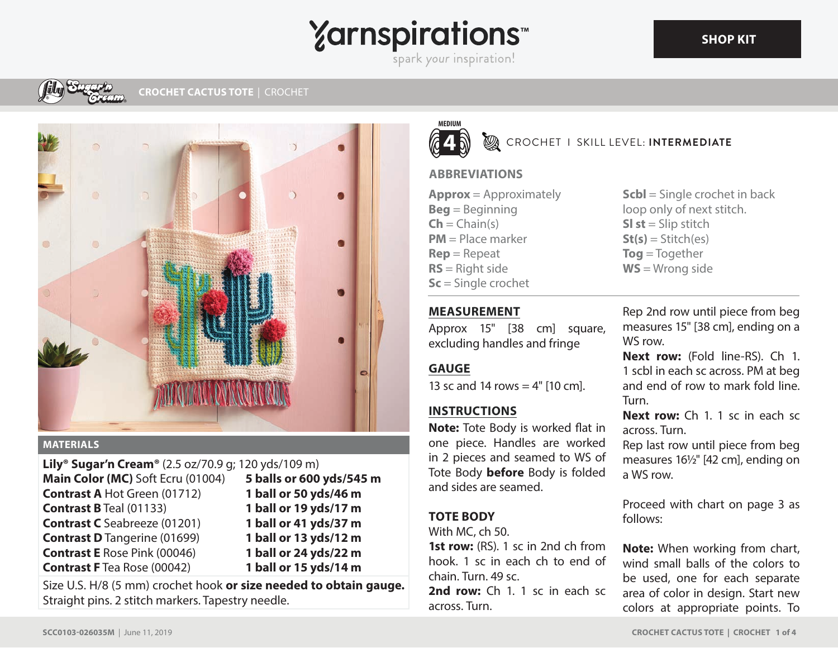# **Yarnspirations** spark your inspiration!



#### **MATERIALS**

**Lily® Sugar'n Cream®** (2.5 oz/70.9 g; 120 yds/109 m) **Main Color (MC)** Soft Ecru (01004) **Contrast A** Hot Green (01712) **Contrast B** Teal (01133) **Contrast C** Seabreeze (01201) **Contrast D** Tangerine (01699) **Contrast E** Rose Pink (00046) **Contrast F** Tea Rose (00042) **5 balls or 600 yds/545 m 1 ball or 50 yds/46 m 1 ball or 19 yds/17 m 1 ball or 41 yds/37 m 1 ball or 13 yds/12 m 1 ball or 24 yds/22 m 1 ball or 15 yds/14 m**

Size U.S. H/8 (5 mm) crochet hook **or size needed to obtain gauge.** Straight pins. 2 stitch markers. Tapestry needle.



**EXAMPLE IS KILL LEVEL: INTERMEDIATE** 

## **ABBREVIATIONS**

**Approx** = Approximately **Beg** = Beginning  $\mathsf{Ch} = \mathsf{Chain}(s)$ **PM** = Place marker **Rep** = Repeat **RS** = Right side **Sc** = Single crochet

**Scbl** = Single crochet in back loop only of next stitch. **Sl st** = Slip stitch  $St(s) = Stitch(es)$ **Tog** = Together **WS** = Wrong side

# **MEASUREMENT**

Approx 15" [38 cm] square, excluding handles and fringe

# **GAUGE**

13 sc and 14 rows  $=$  4" [10 cm].

# **INSTRUCTIONS**

**Note:** Tote Body is worked flat in one piece. Handles are worked in 2 pieces and seamed to WS of Tote Body **before** Body is folded and sides are seamed.

# **TOTE BODY**

With MC, ch 50.

**1st row:** (RS). 1 sc in 2nd ch from hook. 1 sc in each ch to end of chain. Turn. 49 sc.

**2nd row:** Ch 1. 1 sc in each sc across. Turn.

Rep 2nd row until piece from beg measures 15" [38 cm], ending on a WS row.

**Next row:** (Fold line-RS). Ch 1. 1 scbl in each sc across. PM at beg and end of row to mark fold line. Turn.

**Next row:** Ch 1. 1 sc in each sc across. Turn.

Rep last row until piece from beg measures 16½" [42 cm], ending on a WS row.

Proceed with chart on page 3 as follows:

**Note:** When working from chart, wind small balls of the colors to be used, one for each separate area of color in design. Start new colors at appropriate points. To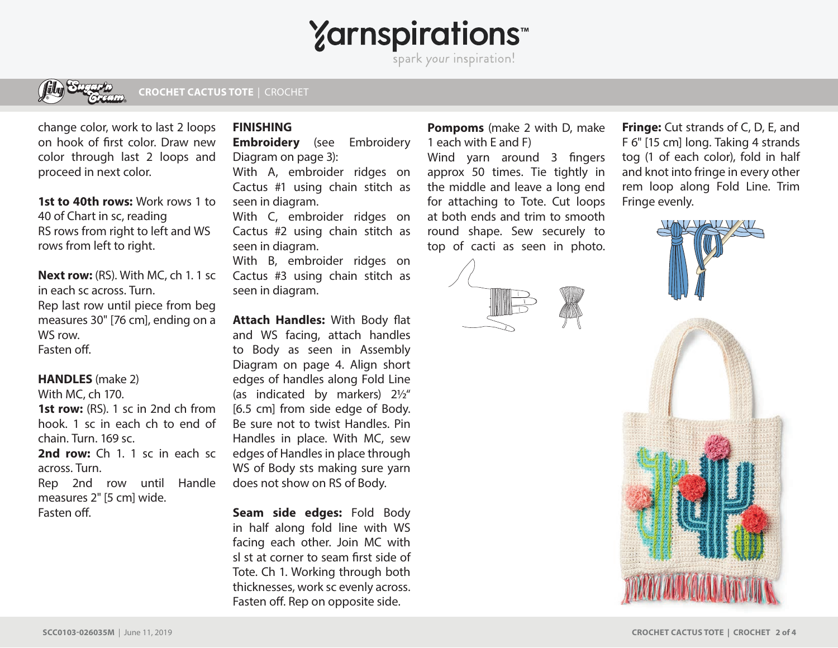**Yarnspirations** 

spark your inspiration!



**CROCHET CACTUS TOTE**| CROCHET

change color, work to last 2 loops on hook of first color. Draw new color through last 2 loops and proceed in next color.

**1st to 40th rows:** Work rows 1 to 40 of Chart in sc, reading RS rows from right to left and WS rows from left to right.

**Next row:** (RS). With MC, ch 1. 1 sc in each sc across. Turn. Rep last row until piece from beg measures 30" [76 cm], ending on a WS row. Fasten off

#### **HANDLES** (make 2)

With MC, ch 170. **1st row:** (RS). 1 sc in 2nd ch from hook. 1 sc in each ch to end of chain. Turn. 169 sc.

**2nd row:** Ch 1. 1 sc in each sc across. Turn.

Rep 2nd row until Handle measures 2" [5 cm] wide. Fasten off.

### **FINISHING**

**Embroidery** (see Embroidery Diagram on page 3):

With A, embroider ridges on Cactus #1 using chain stitch as seen in diagram.

With C, embroider ridges on Cactus #2 using chain stitch as seen in diagram.

With B, embroider ridges on Cactus #3 using chain stitch as seen in diagram.

**Attach Handles: With Body flat** and WS facing, attach handles to Body as seen in Assembly Diagram on page 4. Align short edges of handles along Fold Line (as indicated by markers) 2½" [6.5 cm] from side edge of Body. Be sure not to twist Handles. Pin Handles in place. With MC, sew edges of Handles in place through WS of Body sts making sure yarn does not show on RS of Body.

**Seam side edges:** Fold Body in half along fold line with WS facing each other. Join MC with sl st at corner to seam first side of Tote. Ch 1. Working through both thicknesses, work sc evenly across. Fasten off. Rep on opposite side.

**Pompoms** (make 2 with D, make 1 each with E and F)

Wind yarn around 3 fingers approx 50 times. Tie tightly in the middle and leave a long end for attaching to Tote. Cut loops at both ends and trim to smooth round shape. Sew securely to top of cacti as seen in photo.



**Fringe:** Cut strands of C, D, E, and F 6" [15 cm] long. Taking 4 strands tog (1 of each color), fold in half and knot into fringe in every other rem loop along Fold Line. Trim Fringe evenly.

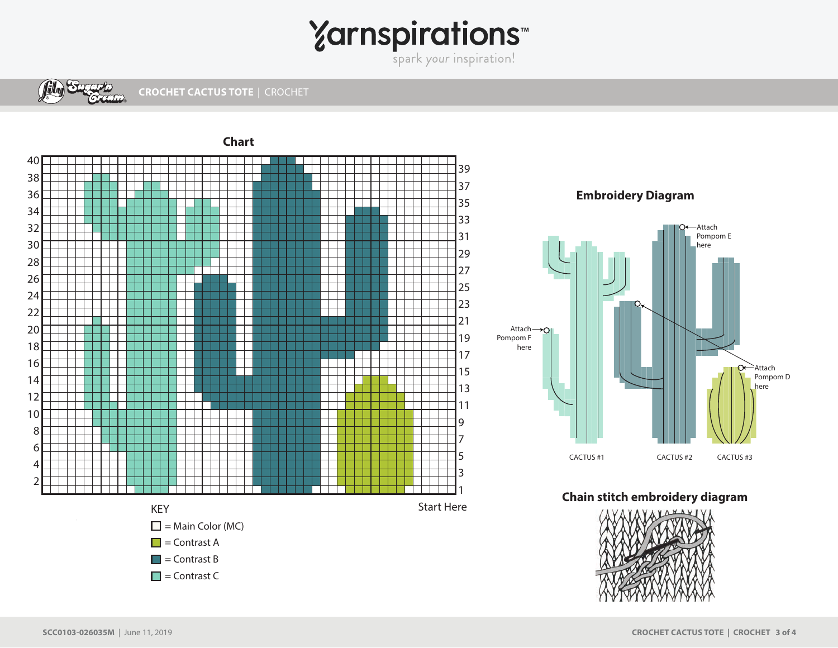# Yarnspirations<sup>\*\*</sup>



**CROCHET CACTUS TOTE**| CROCHET